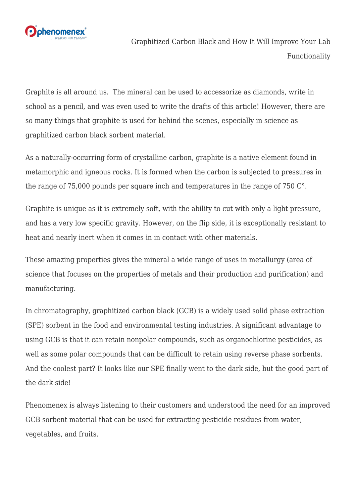

Graphitized Carbon Black and How It Will Improve Your Lab Functionality

Graphite is all around us. The mineral can be used to accessorize as diamonds, write in school as a pencil, and was even used to write the drafts of this article! However, there are so many things that graphite is used for behind the scenes, especially in science as graphitized carbon black sorbent material.

As a naturally-occurring form of crystalline carbon, graphite is a native element found in metamorphic and igneous rocks. It is formed when the carbon is subjected to pressures in the range of 75,000 pounds per square inch and temperatures in the range of 750 C°.

Graphite is unique as it is extremely soft, with the ability to cut with only a light pressure, and has a very low specific gravity. However, on the flip side, it is exceptionally resistant to heat and nearly inert when it comes in in contact with other materials.

These amazing properties gives the mineral a wide range of uses in metallurgy (area of science that focuses on the properties of metals and their production and purification) and manufacturing.

In chromatography, graphitized carbon black (GCB) is a widely used [solid phase extraction](http://ow.ly/neBu30lv8jP) [\(SPE\) sorbent](http://ow.ly/neBu30lv8jP) in the food and environmental testing industries. A significant advantage to using GCB is that it can retain nonpolar compounds, such as organochlorine pesticides, as well as some polar compounds that can be difficult to retain using reverse phase sorbents. And the coolest part? It looks like our SPE finally went to the dark side, but the good part of the dark side!

Phenomenex is always listening to their customers and understood the need for an improved GCB sorbent material that can be used for extracting pesticide residues from water, vegetables, and fruits.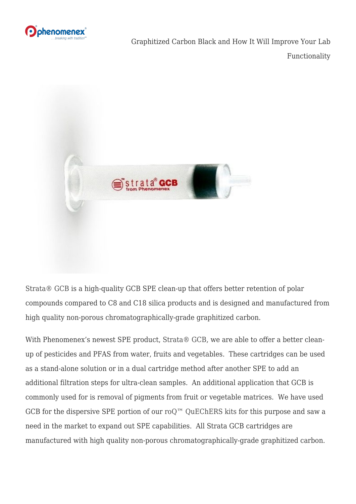

Graphitized Carbon Black and How It Will Improve Your Lab Functionality



[Strata® GCB](http://ow.ly/JCR630lv8eI) is a high-quality GCB SPE clean-up that offers better retention of polar compounds compared to C8 and C18 silica products and is designed and manufactured from high quality non-porous chromatographically-grade graphitized carbon.

With Phenomenex's newest SPE product, [Strata® GCB](http://ow.ly/JCR630lv8eI), we are able to offer a better cleanup of pesticides and PFAS from water, fruits and vegetables. These cartridges can be used as a stand-alone solution or in a dual cartridge method after another SPE to add an additional filtration steps for ultra-clean samples. An additional application that GCB is commonly used for is removal of pigments from fruit or vegetable matrices. We have used GCB for the dispersive SPE portion of our ro $Q^M$  QuEChERS kits for this purpose and saw a need in the market to expand out SPE capabilities. All Strata GCB cartridges are manufactured with high quality non-porous chromatographically-grade graphitized carbon.